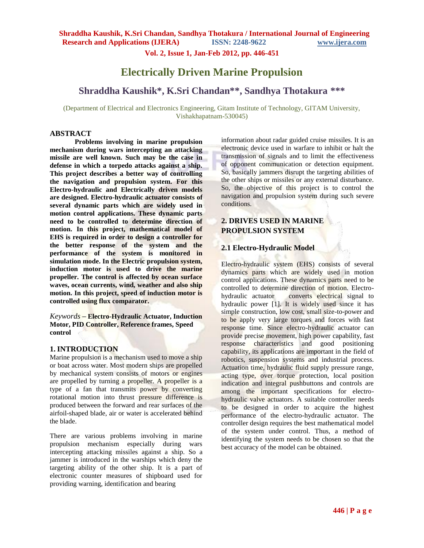**Vol. 2, Issue 1, Jan-Feb 2012, pp. 446-451**

# **Electrically Driven Marine Propulsion**

# **Shraddha Kaushik\*, K.Sri Chandan\*\* , Sandhya Thotakura \*\*\***

(Department of Electrical and Electronics Engineering, Gitam Institute of Technology, GITAM University, Vishakhapatnam-530045)

#### **ABSTRACT**

**Problems involving in marine propulsion mechanism during wars intercepting an attacking missile are well known. Such may be the case in defense in which a torpedo attacks against a ship. This project describes a better way of controlling the navigation and propulsion system. For this Electro-hydraulic and Electrically driven models are designed. Electro-hydraulic actuator consists of several dynamic parts which are widely used in motion control applications. These dynamic parts need to be controlled to determine direction of motion. In this project, mathematical model of EHS is required in order to design a controller for the better response of the system and the performance of the system is monitored in simulation mode. In the Electric propulsion system, induction motor is used to drive the marine propeller. The control is affected by ocean surface waves, ocean currents, wind, weather and also ship motion. In this project, speed of induction motor is controlled using flux comparator.**

*Keywords* **– Electro-Hydraulic Actuator, Induction Motor, PID Controller, Reference frames, Speed control**

#### **1. INTRODUCTION**

Marine propulsion is a mechanism used to move a ship or boat across water. Most modern ships are propelled by mechanical system consists of motors or engines are propelled by turning a propeller. A propeller is a type of a fan that transmits power by converting rotational motion into thrust pressure difference is produced between the forward and rear surfaces of the airfoil-shaped blade, air or water is accelerated behind the blade.

There are various problems involving in marine propulsion mechanism especially during wars intercepting attacking missiles against a ship. So a jammer is introduced in the warships which deny the targeting ability of the other ship. It is a part of electronic counter measures of shipboard used for providing warning, identification and bearing

information about radar guided cruise missiles. It is an electronic device used in warfare to inhibit or halt the transmission of signals and to limit the effectiveness of opponent communication or detection equipment. So, basically jammers disrupt the targeting abilities of the other ships or missiles or any external disturbance. So, the objective of this project is to control the navigation and propulsion system during such severe conditions.

## **2. DRIVES USED IN MARINE PROPULSION SYSTEM**

### **2.1 Electro-Hydraulic Model**

Electro-hydraulic system (EHS) consists of several dynamics parts which are widely used in motion control applications. These dynamics parts need to be controlled to determine direction of motion. Electrohydraulic actuator converts electrical signal to hydraulic power [1]. It is widely used since it has simple construction, low cost, small size-to-power and to be apply very large torques and forces with fast response time. Since electro-hydraulic actuator can provide precise movement, high power capability, fast response characteristics and good positioning capability, its applications are important in the field of robotics, suspension systems and industrial process. Actuation time, hydraulic fluid supply pressure range, acting type, over torque protection, local position indication and integral pushbuttons and controls are among the important specifications for electrohydraulic valve actuators. A suitable controller needs to be designed in order to acquire the highest performance of the electro-hydraulic actuator. The controller design requires the best mathematical model of the system under control. Thus, a method of identifying the system needs to be chosen so that the best accuracy of the model can be obtained.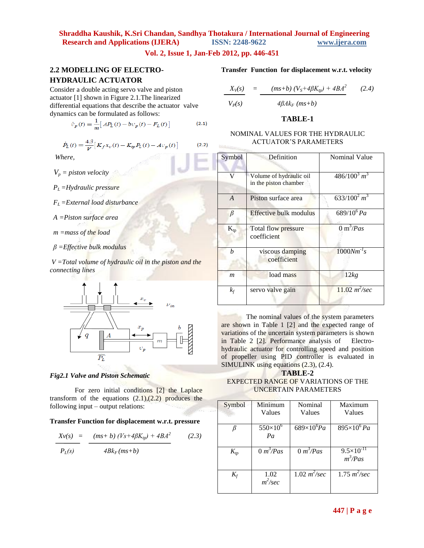### **Vol. 2, Issue 1, Jan-Feb 2012, pp. 446-451**

## **2.2 MODELLING OF ELECTRO-HYDRAULIC ACTUATOR**

Consider a double acting servo valve and piston actuator [1] shown in Figure 2.1.The linearized differential equations that describe the actuator valve dynamics can be formulated as follows:

$$
\dot{\nu}_p(t) = \frac{1}{m} \Big[ A P_L(t) - b \nu_p(t) - F_L(t) \Big] \tag{2.1}
$$

$$
\dot{P}_{L}(t) = \frac{4\beta}{V} \left[ K_{f} x_{v}(t) - K_{tp} P_{L}(t) - A v_{p}(t) \right]
$$
 (2.2)

*Where,*

- $V_p =$  *piston velocity*
- *PL =Hydraulic pressure*
- *FL =External load disturbance*
- *A =Piston surface area*

 *m =mass of the load*

 *β =Effective bulk modulus*

*V =Total volume of hydraulic oil in the piston and the connecting lines*



#### *Fig2.1 Valve and Piston Schematic*

For zero initial conditions [2] the Laplace transform of the equations  $(2.1)$ , $(2.2)$  produces the following input – output relations:

#### **Transfer Function for displacement w.r.t. pressure**

$$
\frac{Xv(s)}{P_L(s)} = \frac{(ms+b)(Vs + 4\beta K_{tp}) + 4BA^2}{4Bk_F(m s + b)}
$$
 (2.3)

#### **Transfer Function for displacement w.r.t. velocity**

$$
\frac{X_V(s)}{V_P(s)} = \frac{(ms+b)\left(V_S + 4\beta K_{tp}\right) + 4BA^2}{4\beta Ak_F\left(ms+b\right)}\tag{2.4}
$$

#### **TABLE-1**

#### NOMINAL VALUES FOR THE HYDRAULIC ACTUATOR'S PARAMETERS

| Symbol         | Definition                                       | Nominal Value                |
|----------------|--------------------------------------------------|------------------------------|
| V              | Volume of hydraulic oil<br>in the piston chamber | $486/100^3 m^3$              |
| $\overline{A}$ | Piston surface area                              | $\frac{633}{100^2}m^3$       |
| $\beta$        | Effective bulk modulus                           | $689/10^6 Pa$                |
| $K_{tp}$       | Total flow pressure<br>coefficient               | $0 \text{ m}^3$ / <i>Pas</i> |
| h              | viscous damping<br>coefficient                   | $1000Nm^{-1}s$               |
| m              | load mass                                        | 12kg                         |
| $k_f$          | servo valve gain                                 | $11.02 m^2/sec$              |

The nominal values of the system parameters are shown in Table 1 [2] and the expected range of variations of the uncertain system parameters is shown in Table 2 [2]. Performance analysis of Electrohydraulic actuator for controlling speed and position of propeller using PID controller is evaluated in SIMULINK using equations (2.3), (2.4).

### **TABLE-2** EXPECTED RANGE OF VARIATIONS OF THE UNCERTAIN PARAMETERS

| Symbol   | Minimum<br>Values       | Nominal<br>Values                 | Maximum<br>Values                             |
|----------|-------------------------|-----------------------------------|-----------------------------------------------|
|          | $550\times10^{6}$       | $\overline{689\times10^6Pa}$      | $895\times10^{6} Pa$                          |
|          | Pa                      |                                   |                                               |
| $K_{tp}$ | $\overline{0 m^3}$ /Pas | $\frac{3}{2}$ m <sup>3</sup> /Pas | $\frac{1}{9.5 \times 10^{-11}}$<br>$m^3$ /Pas |
|          |                         |                                   |                                               |
| $K_f$    | 1.02<br>$m^2/sec$       | $1.02 \frac{m^2}{sec}$            | $1.75 \frac{m^2}{sec}$                        |
|          |                         |                                   |                                               |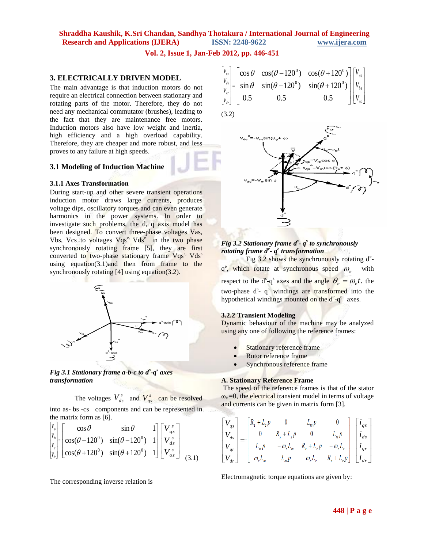**Vol. 2, Issue 1, Jan-Feb 2012, pp. 446-451**

(3.2)

### **3. ELECTRICALLY DRIVEN MODEL**

The main advantage is that induction motors do not require an electrical connection between stationary and rotating parts of the motor. Therefore, they do not need any mechanical commutator (brushes), leading to the fact that they are maintenance free motors. Induction motors also have low weight and inertia, high efficiency and a high overload capability. Therefore, they are cheaper and more robust, and less proves to any failure at high speeds.

## **3.1 Modeling of Induction Machine**

#### **3.1.1 Axes Transformation**

During start-up and other severe transient operations induction motor draws large currents, produces voltage dips, oscillatory torques and can even generate harmonics in the power systems. In order to investigate such problems, the d, q axis model has been designed. To convert three-phase voltages Vas, Vbs, Vcs to voltages Vqs<sup>e,</sup> Vds<sup>e</sup> in the two phase synchronously rotating frame [5], they are first converted to two-phase stationary frame Vqs<sup>s,</sup> Vds<sup>s</sup> using equation(3.1)and then from frame to the synchronously rotating  $[4]$  using equation(3.2).





The voltages  $V_{ds}^s$  and  $V_{qs}^s$  can be resolved into as- bs -cs components and can be represented in the matrix form as [6].

$$
\begin{bmatrix}\nV_g \\
V_g \\
V_g \\
V_g \\
V_g\n\end{bmatrix} =\n\begin{bmatrix}\n\cos\theta & \sin\theta & 1 \\
\cos(\theta - 120^\circ) & \sin(\theta - 120^\circ) & 1 \\
\cos(\theta + 120^\circ) & \sin(\theta + 120^\circ) & 1\n\end{bmatrix}\n\begin{bmatrix}\nV_g^s \\
V_{ds}^s \\
V_{ds}^s \\
V_{os}\n\end{bmatrix}
$$
\n(3.1)

The corresponding inverse relation is

$$
\begin{bmatrix}\nV_{qs} \\
V_{ds} \\
V_{ds} \\
V_{qr} \\
V_{dr}\n\end{bmatrix} = \begin{bmatrix}\n\cos\theta & \cos(\theta - 120^\circ) & \cos(\theta + 120^\circ) \\
\sin\theta & \sin(\theta - 120^\circ) & \sin(\theta + 120^\circ) \\
0.5 & 0.5 & 0.5\n\end{bmatrix} \begin{bmatrix}\nV_{as} \\
V_{bs} \\
V_{bs} \\
V_{cs}\n\end{bmatrix}
$$

 $sin(\theta_e)$ V<sub>m</sub>sin ⊕

## *Fig 3.2 Stationary frame d<sup>s</sup> - q s to synchronously rotating frame d<sup>e</sup> - q e transformation*

Fig  $3.2$  shows the synchronously rotating  $d^e$ q<sup>e</sup>, which rotate at synchronous speed  $\omega_e$  with respect to the d<sup>s</sup>-q<sup>s</sup> axes and the angle  $\theta_e = \omega_e t$ , the two-phase  $d^s$ -  $q^s$  windings are transformed into the hypothetical windings mounted on the d<sup>e</sup>-q<sup>e</sup> axes.

#### **3.2.2 Transient Modeling**

Dynamic behaviour of the machine may be analyzed using any one of following the reference frames:

- Stationary reference frame
- Rotor reference frame
- Synchronous reference frame

#### **A. Stationary Reference Frame**

The speed of the reference frames is that of the stator  $\omega_e$  =0, the electrical transient model in terms of voltage and currents can be given in matrix form [3].

$$
\begin{bmatrix}\nV_{qs} \\
V_{qs} \\
V_{ds}^s \\
V_{os}^s\n\end{bmatrix}\n\qquad\n\begin{bmatrix}\nV_{qs} \\
V_{ds} \\
V_{qr} \\
V_{dr}\n\end{bmatrix} =\n\begin{bmatrix}\nR_s + L_s p & 0 & L_m p & 0 \\
0 & R_s + L_s p & 0 & L_m p \\
L_m p & -\omega_r L_m & R_r + L_r p & -\omega_r L_r \\
\omega_r L_m & L_m p & \omega_r L_r & R_r + L_r p\n\end{bmatrix}\n\begin{bmatrix}\n\dot{\mathbf{i}}_{qs} \\
\dot{\mathbf{i}}_{ds} \\
\dot{\mathbf{i}}_{qr} \\
\dot{\mathbf{i}}_{dr}\n\end{bmatrix}
$$

Electromagnetic torque equations are given by: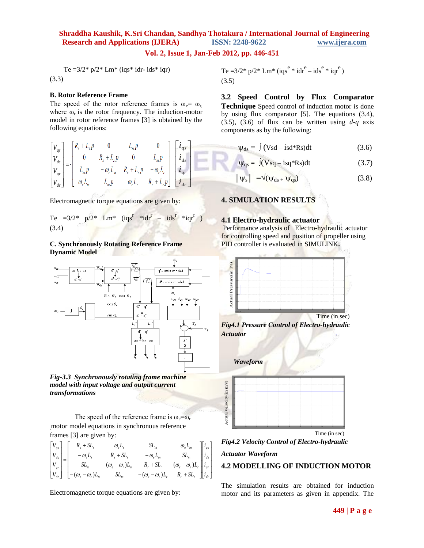## **Vol. 2, Issue 1, Jan-Feb 2012, pp. 446-451**

ÿ

*i*

 $\mathcal{L}$ 

Ņ 5

y

h

Te = $3/2$ \* p/ $2$ \* Lm\* (iqs\* idr- ids\* iqr) (3.3)

#### **B. Rotor Reference Frame**

The speed of the rotor reference frames is  $\omega_e = \omega_r$ , where  $\omega_r$  is the rotor frequency. The induction-motor model in rotor reference frames [3] is obtained by the following equations:

$$
\begin{bmatrix}\nV_{qs} \\
V_{ds} \\
V_{qr} \\
V_{qr}\n\end{bmatrix} = \begin{bmatrix}\nR_s + L_s p & 0 & L_m p & 0 \\
0 & R_s + L_s p & 0 & L_m p \\
L_m p & -\omega_r L_m & R_r + L_r p & -\omega_r L_r \\
\omega_r L_m & L_m p & \omega_r L_r & R_r + L_r p\n\end{bmatrix} \begin{bmatrix}\n\boldsymbol{i}_{qs} \\
\boldsymbol{i}_{ds} \\
\boldsymbol{i}_{qr} \\
\boldsymbol{i}_{qr}\n\end{bmatrix}
$$

Electromagnetic torque equations are given by:

Te = 3/2\*  $p/2$ \* Lm\* (iqs<sup>r</sup> \*idr<sup>r</sup> – ids<sup>r</sup> \*iqr<sup>r</sup>) (3.4)

#### **C. Synchronously Rotating Reference Frame Dynamic Model**



*Fig-3.3 Synchronously rotating frame machine model with input voltage and output current transformations*

The speed of the reference frame is  $\omega_e = \omega_r$ ,motor model equations in synchronous reference frames [3] are given by:

$$
\begin{bmatrix}\nV_{qs} \\
V_{ds} \\
V_{ds} \\
V_{qr} \\
V_{dr}\n\end{bmatrix} =\n\begin{bmatrix}\nR_s + SL_s & \omega_e L_s & SL_m & \omega_e L_m \\
-\omega_e L_s & R_s + SL_s & -\omega_e L_m & SL_m \\
\omega_e - \omega_r)L_m & R_r + SL_r & (\omega_e - \omega_r)L_r \\
-(\omega_e - \omega_r)L_m & SL_m & -(\omega_e - \omega_r)L_r & R_r + SL_r\n\end{bmatrix}\n\begin{bmatrix}\ni_{qs} \\
i_{ds} \\
i_{qr} \\
i_{qr}\n\end{bmatrix}
$$

Electromagnetic torque equations are given by:

Te =3/2\* p/2\* Lm\* (iqs<sup>e</sup> \* idr<sup>e</sup> – ids<sup>e</sup> \* iqr<sup>e</sup> ) (3.5)

**3.2 Speed Control by Flux Comparator Technique** Speed control of induction motor is done by using flux comparator [5]. The equations (3.4), (3.5), (3.6) of flux can be written using *d-q* axis components as by the following:

$$
\Psi_{ds} = \int (Vsd - isd*Rs)dt
$$
 (3.6)

$$
\Psi_{\rm qs} = \int (V_{\rm sq} - i_{\rm sq} * R_{\rm s}) dt \tag{3.7}
$$

$$
|\psi_{\rm s}| = \sqrt{\psi_{\rm ds} + \psi_{\rm qs}}
$$
 (3.8)

#### **4. SIMULATION RESULTS**

#### **4.1 Electro-hydraulic actuator**

Performance analysis of Electro-hydraulic actuator for controlling speed and position of propeller using PID controller is evaluated in SIMULINK**.**

![](_page_3_Figure_22.jpeg)

*Fig4.1 Pressure Control of Electro-hydraulic Actuator*

![](_page_3_Figure_24.jpeg)

*Fig4.2 Velocity Control of Electro-hydraulic Actuator Waveform*

#### **4.2 MODELLING OF INDUCTION MOTOR**

The simulation results are obtained for induction motor and its parameters as given in appendix. The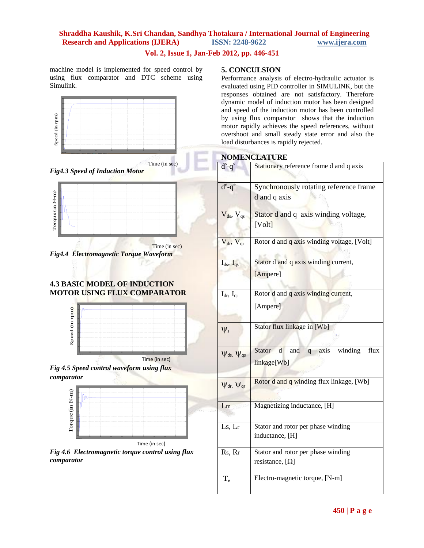## **Vol. 2, Issue 1, Jan-Feb 2012, pp. 446-451**

machine model is implemented for speed control by using flux comparator and DTC scheme using Simulink.

![](_page_4_Figure_3.jpeg)

*Fig4.3 Speed of Induction Motor*

![](_page_4_Figure_5.jpeg)

**Time** (in sec) *Fig4.4 Electromagnetic Torque Waveform*

## **4.3 BASIC MODEL OF INDUCTION MOTOR USING FLUX COMPARATOR**

![](_page_4_Figure_8.jpeg)

*Fig 4.5 Speed control waveform using flux comparator*

![](_page_4_Figure_10.jpeg)

Time (in sec)

*Fig 4.6 Electromagnetic torque control using flux comparator*

## **5. CONCULSION**

Performance analysis of electro-hydraulic actuator is evaluated using PID controller in SIMULINK, but the responses obtained are not satisfactory. Therefore dynamic model of induction motor has been designed and speed of the induction motor has been controlled by using flux comparator shows that the induction motor rapidly achieves the speed references, without overshoot and small steady state error and also the load disturbances is rapidly rejected.

## **NOMENCLATURE**

|                           | $d^s - q^s$          | Stationary reference frame d and q axis         |  |
|---------------------------|----------------------|-------------------------------------------------|--|
|                           | $d^e$ -q $^e$        | Synchronously rotating reference frame          |  |
|                           |                      | d and q axis                                    |  |
|                           | $V_{ds}$ , $V_{qs}$  | Stator d and q axis winding voltage,            |  |
|                           |                      | [Volt]                                          |  |
|                           | $V_{dr}$ , $V_{qr}$  | Rotor d and q axis winding voltage, [Volt]      |  |
|                           | $I_{ds}$ , $I_{qs}$  | Stator d and q axis winding current,            |  |
|                           |                      | [Ampere]                                        |  |
|                           |                      |                                                 |  |
|                           | $I_{dr}$ , $I_{qr}$  | Rotor d and q axis winding current,             |  |
|                           |                      | [Ampere]                                        |  |
|                           |                      |                                                 |  |
|                           | $\Psi$               | Stator flux linkage in [Wb]                     |  |
| $\Psi_{ds}$ , $\Psi_{qs}$ |                      | axis winding<br>Stator<br>flux<br>and<br>d<br>q |  |
|                           |                      | linkage[Wb]                                     |  |
|                           |                      |                                                 |  |
|                           | $\Psi$ dr, $\Psi$ qr | Rotor d and q winding flux linkage, [Wb]        |  |
|                           |                      |                                                 |  |
|                           | Lm                   | Magnetizing inductance, [H]                     |  |
|                           | Ls, Lr               | Stator and rotor per phase winding              |  |
|                           |                      | inductance, [H]                                 |  |
|                           | Rs, Rr               | Stator and rotor per phase winding              |  |
|                           |                      | resistance, [ $\Omega$ ]                        |  |
|                           | $T_e$                | Electro-magnetic torque, [N-m]                  |  |
|                           |                      |                                                 |  |